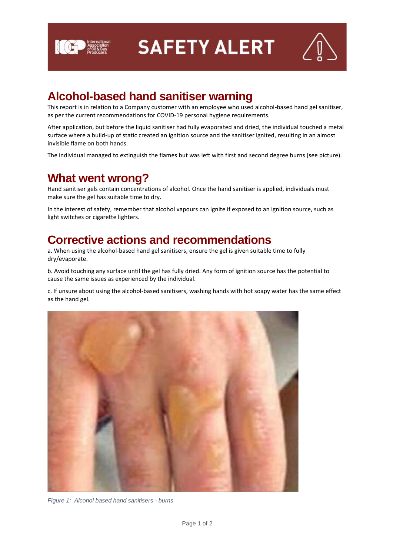

**ICEP** Association **SAFETY ALERT** 



## **Alcohol-based hand sanitiser warning**

This report is in relation to a Company customer with an employee who used alcohol-based hand gel sanitiser, as per the current recommendations for COVID-19 personal hygiene requirements.

After application, but before the liquid sanitiser had fully evaporated and dried, the individual touched a metal surface where a build-up of static created an ignition source and the sanitiser ignited, resulting in an almost invisible flame on both hands.

The individual managed to extinguish the flames but was left with first and second degree burns (see picture).

#### **What went wrong?**

Hand sanitiser gels contain concentrations of alcohol. Once the hand sanitiser is applied, individuals must make sure the gel has suitable time to dry.

In the interest of safety, remember that alcohol vapours can ignite if exposed to an ignition source, such as light switches or cigarette lighters.

### **Corrective actions and recommendations**

a. When using the alcohol-based hand gel sanitisers, ensure the gel is given suitable time to fully dry/evaporate.

b. Avoid touching any surface until the gel has fully dried. Any form of ignition source has the potential to cause the same issues as experienced by the individual.

c. If unsure about using the alcohol-based sanitisers, washing hands with hot soapy water has the same effect as the hand gel.



*Figure 1: Alcohol based hand sanitisers - burns*